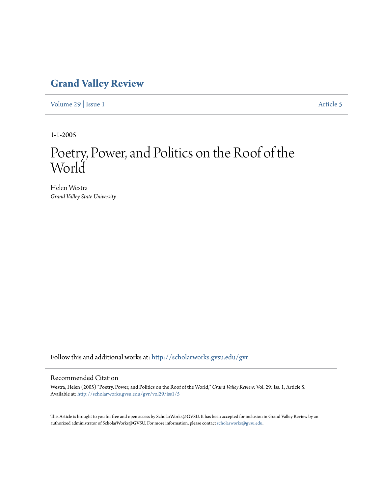## **[Grand Valley Review](http://scholarworks.gvsu.edu/gvr?utm_source=scholarworks.gvsu.edu%2Fgvr%2Fvol29%2Fiss1%2F5&utm_medium=PDF&utm_campaign=PDFCoverPages)**

[Volume 29](http://scholarworks.gvsu.edu/gvr/vol29?utm_source=scholarworks.gvsu.edu%2Fgvr%2Fvol29%2Fiss1%2F5&utm_medium=PDF&utm_campaign=PDFCoverPages) | [Issue 1](http://scholarworks.gvsu.edu/gvr/vol29/iss1?utm_source=scholarworks.gvsu.edu%2Fgvr%2Fvol29%2Fiss1%2F5&utm_medium=PDF&utm_campaign=PDFCoverPages) [Article 5](http://scholarworks.gvsu.edu/gvr/vol29/iss1/5?utm_source=scholarworks.gvsu.edu%2Fgvr%2Fvol29%2Fiss1%2F5&utm_medium=PDF&utm_campaign=PDFCoverPages)

1-1-2005

## Poetry, Power, and Politics on the Roof of the World

Helen Westra *Grand Valley State University*

Follow this and additional works at: [http://scholarworks.gvsu.edu/gvr](http://scholarworks.gvsu.edu/gvr?utm_source=scholarworks.gvsu.edu%2Fgvr%2Fvol29%2Fiss1%2F5&utm_medium=PDF&utm_campaign=PDFCoverPages)

## Recommended Citation

Westra, Helen (2005) "Poetry, Power, and Politics on the Roof of the World," *Grand Valley Review*: Vol. 29: Iss. 1, Article 5. Available at: [http://scholarworks.gvsu.edu/gvr/vol29/iss1/5](http://scholarworks.gvsu.edu/gvr/vol29/iss1/5?utm_source=scholarworks.gvsu.edu%2Fgvr%2Fvol29%2Fiss1%2F5&utm_medium=PDF&utm_campaign=PDFCoverPages)

This Article is brought to you for free and open access by ScholarWorks@GVSU. It has been accepted for inclusion in Grand Valley Review by an authorized administrator of ScholarWorks@GVSU. For more information, please contact [scholarworks@gvsu.edu.](mailto:scholarworks@gvsu.edu)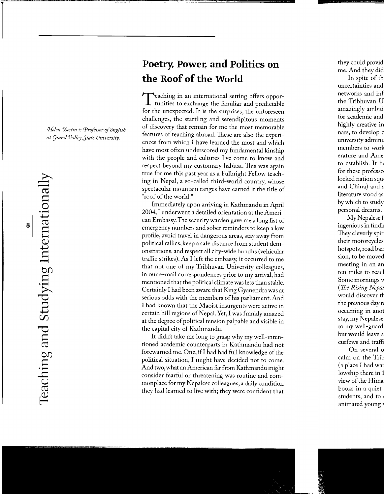*CJielen Westra is Professor* of *English at Cjrand Valley Jtate University.* 

## **Poetry, Power, and Politics on the Roof of the World**

Teaching in an international setting offers oppor-tunities to exchange the familiar and predictable for the unexpected. It is the surprises, the unforeseen challenges, the startling and serendipitous moments of discovery that remain for me the most memorable features of teaching abroad. These are also the experiences from which I have learned the most and which have most often underscored my fundamental kinship with the people and cultures I've come to know and respect beyond my customary habitat. This was again true for me this past year as a Fulbright Fellow teaching in Nepal, a so-called third-world country, whose spectacular mountain ranges have earned it the title of "roof of the world."

Immediately upon arriving in Kathmandu in April 2004, I underwent a detailed orientation at the American Embassy. The security warden gave me a long list of emergency numbers and sober reminders to keep a low profile, avoid travel in dangerous areas, stay away from political rallies, keep a safe distance from student demonstrations, and respect all city-wide bundhs (vehicular traffic strikes). As I left the embassy, it occurred to me that not one of my Tribhuvan University colleagues, in our e-mail correspondences prior to my arrival, had mentioned that the political climate was less than stable. Certainly I had been aware that King Gyanendra was at serious odds with the members of his parliament. And I had known that the Maoist insurgents were active in certain hill regions of Nepal. Yet, I was frankly amazed at the degree of political tension palpable and visible in the capital city of Kathmandu.

It didn't take me long to grasp why my well-intentioned academic counterparts in Kathmandu had not forewarned me. One, ifl had had full knowledge of the political situation, I might have decided not to come. And two, what an American far from Kathmandu might consider fearful or threatening was routine and commonplace for my Nepalese colleagues, a daily condition they had learned to live with; they were confident that

 $\dot{H}$  .

 $\overrightarrow{D}$  $\Box$  $\overline{\phantom{0}}$  $\infty$  $\overline{\mathbf{C}}$ ~  $\sigma$  $\overline{a}$ 

 $\cdot \Xi$  .

 $\overline{\phantom{0}}$ 

ب<br>ب  $\bar{\sigma}$ 

 $\implies$  $\overline{\sigma}$ ——  $\bigcirc$ : $\Box$  $\overline{\sigma}$  $\Xi^-$ *Q)*   $\overline{\phantom{0}}$ <sup>~</sup>**<sup>H</sup>**  $\alpha$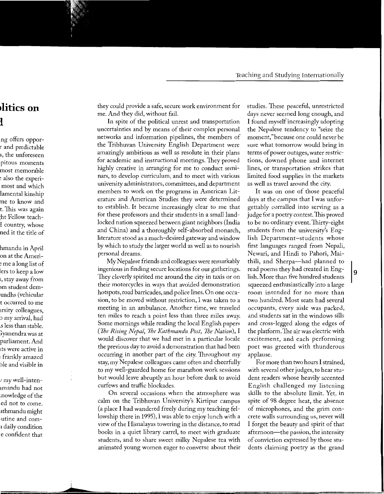they could provide a safe, secure work environment for me. And they did, without fail.

In spite of the political unrest and transportation uncertainties and by means of their complex personal networks and information pipelines, the members of the Tribhuvan University English Department were amazingly ambitious as well as resolute in their plans for academic and instructional meetings. They proved highly creative in arranging for me to conduct seminars, to develop curriculum, and to meet with various university administrators, committees, and department members to work on the programs in American Literature and American Studies they were determined to establish. It became increasingly clear to me that for these professors and their students in a small landlocked nation squeezed between giant neighbors (India and China) and a thoroughly self-absorbed monarch, literature stood as a much-desired gateway and window by which to study the larger world as well as to nourish personal dreams.

My Nepalese friends and colleagues were remarkably ingenious in finding secure locations for our gatherings. They cleverly spirited me around the city in taxis or on their motorcycles in ways that avoided demonstration hotspots, road barricades, and police lines. On one occasion, to be moved without restriction, I was taken to a meeting in an ambulance. Another time, we traveled ten miles to reach a point less than three miles away. Some mornings while reading the local English papers *(7he Rising Nepal, 7he Kathmandu Post, 7he Nation),* I would discover that we had met in a particular locale the previous day to avoid a demonstration that had been occurring in another part of the city. Throughout my stay, my Nepalese colleagues came often and cheerfully to my well-guarded home for marathon work sessions but would leave abruptly an hour before dusk to avoid curfews and traffic blockades.

On several occasions when the atmosphere was calm on the Tribhuvan University's Kirtipur campus (a place I had wandered freely during my teaching fellowship there in 1995), I was able to enjoy lunch with a view of the Himalayas towering in the distance, to read books in a quiet library carrel, to meet with graduate students, and to share sweet milky Nepalese tea with animated young women eager to converse about their studies. These peaceful, unrestricted days never seemed long enough, and I found myself increasingly adopting the Nepalese tendency to "seize the moment," because one could never be sure what tomorrow would bring in terms of power outages, water restrictions, downed phone and internet lines, or transportation strikes that limited food supplies in the markets as well as travel around the city.

It was on one of those peaceful days at the campus that I was unforgettably corralled into serving as a judge for a poetry contest. This proved to be no ordinary event. Thirty-eight students from the university's English Department-students whose first languages ranged from Nepali, Newari, and Hindi to Pahori, Maithili, and Sherpa-had planned to read poems they had created in English. More than five hundred students squeezed enthusiastically into a large room intended for no more than two hundred. Most seats had several occupants, every aisle was packed, and students sat in the windows sills and cross-legged along the edges of the platform. The air was electric with excitement, and each performing poet was greeted with thunderous applause.

For more than two hours I strained, with several other judges, to hear student readers whose heavily accented English challenged my listening skills to the absolute limit. Yet, in spite of 98 degree heat, the absence of microphones, and the grim concrete walls surrounding us, never will I forget the beauty and spirit of that afternoon—the passion, the intensity of conviction expressed by those students claiming poetry as the grand